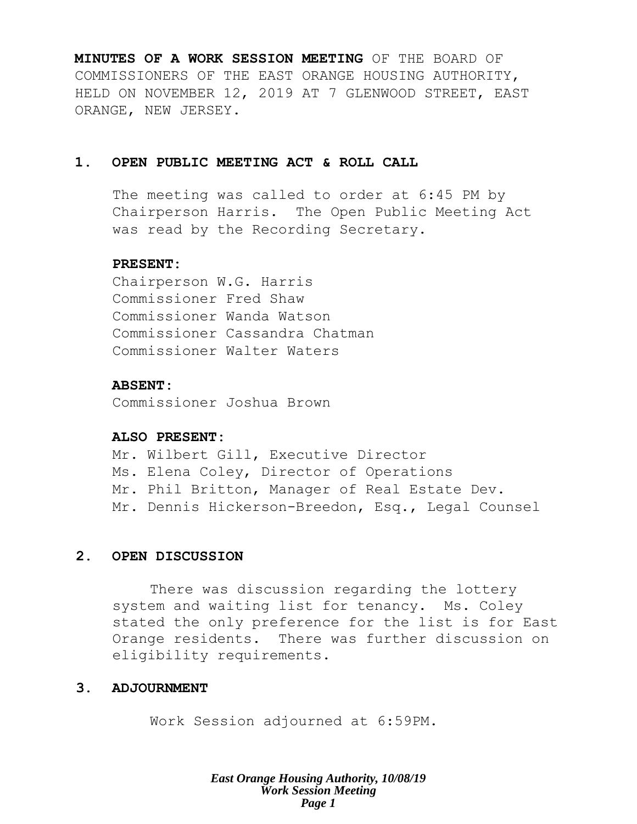**MINUTES OF A WORK SESSION MEETING** OF THE BOARD OF COMMISSIONERS OF THE EAST ORANGE HOUSING AUTHORITY, HELD ON NOVEMBER 12, 2019 AT 7 GLENWOOD STREET, EAST ORANGE, NEW JERSEY.

## **1. OPEN PUBLIC MEETING ACT & ROLL CALL**

The meeting was called to order at 6:45 PM by Chairperson Harris. The Open Public Meeting Act was read by the Recording Secretary.

#### **PRESENT:**

Chairperson W.G. Harris Commissioner Fred Shaw Commissioner Wanda Watson Commissioner Cassandra Chatman Commissioner Walter Waters

### **ABSENT:**

Commissioner Joshua Brown

## **ALSO PRESENT:**

Mr. Wilbert Gill, Executive Director Ms. Elena Coley, Director of Operations Mr. Phil Britton, Manager of Real Estate Dev. Mr. Dennis Hickerson-Breedon, Esq., Legal Counsel

## **2. OPEN DISCUSSION**

There was discussion regarding the lottery system and waiting list for tenancy. Ms. Coley stated the only preference for the list is for East Orange residents. There was further discussion on eligibility requirements.

## **3. ADJOURNMENT**

Work Session adjourned at 6:59PM.

*East Orange Housing Authority, 10/08/19 Work Session Meeting Page 1*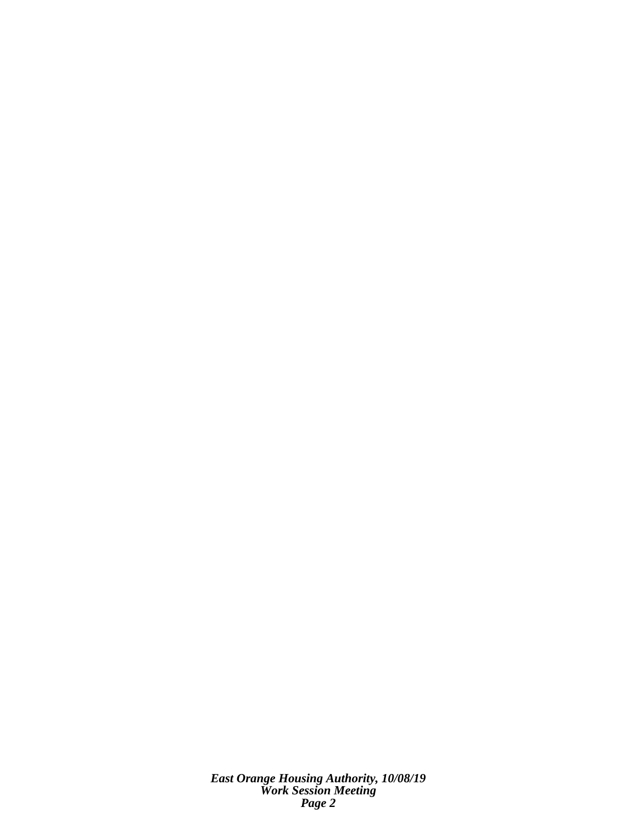*East Orange Housing Authority, 10/08/19 Work Session Meeting Page 2*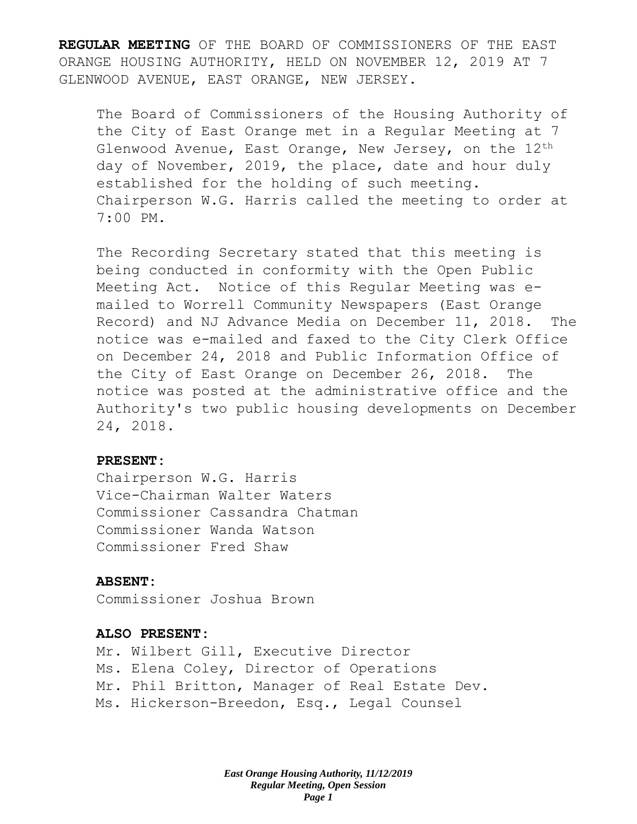**REGULAR MEETING** OF THE BOARD OF COMMISSIONERS OF THE EAST ORANGE HOUSING AUTHORITY, HELD ON NOVEMBER 12, 2019 AT 7 GLENWOOD AVENUE, EAST ORANGE, NEW JERSEY.

The Board of Commissioners of the Housing Authority of the City of East Orange met in a Regular Meeting at 7 Glenwood Avenue, East Orange, New Jersey, on the  $12<sup>th</sup>$ day of November, 2019, the place, date and hour duly established for the holding of such meeting. Chairperson W.G. Harris called the meeting to order at 7:00 PM.

The Recording Secretary stated that this meeting is being conducted in conformity with the Open Public Meeting Act. Notice of this Regular Meeting was emailed to Worrell Community Newspapers (East Orange Record) and NJ Advance Media on December 11, 2018. The notice was e-mailed and faxed to the City Clerk Office on December 24, 2018 and Public Information Office of the City of East Orange on December 26, 2018. The notice was posted at the administrative office and the Authority's two public housing developments on December 24, 2018.

#### **PRESENT:**

Chairperson W.G. Harris Vice-Chairman Walter Waters Commissioner Cassandra Chatman Commissioner Wanda Watson Commissioner Fred Shaw

#### **ABSENT:**

Commissioner Joshua Brown

#### **ALSO PRESENT:**

Mr. Wilbert Gill, Executive Director Ms. Elena Coley, Director of Operations Mr. Phil Britton, Manager of Real Estate Dev. Ms. Hickerson-Breedon, Esq., Legal Counsel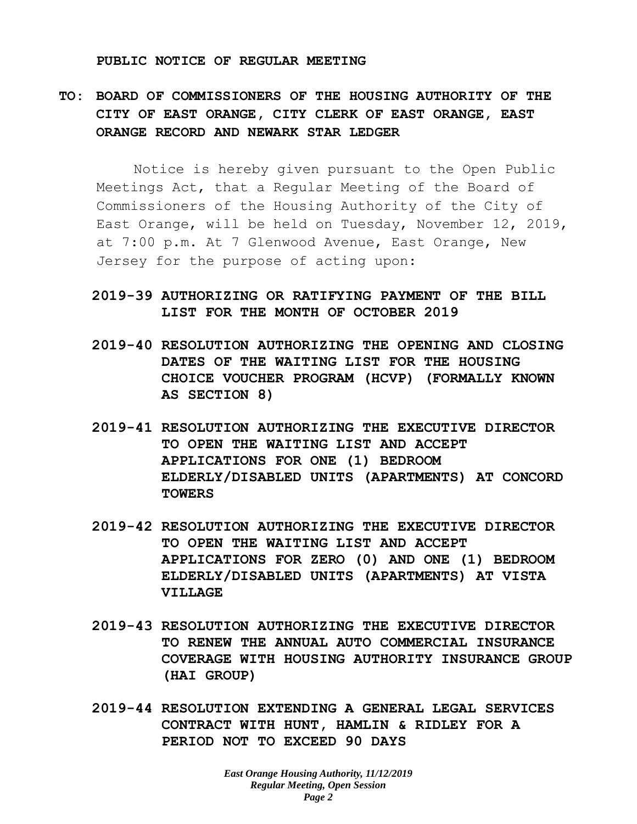#### **PUBLIC NOTICE OF REGULAR MEETING**

# **TO: BOARD OF COMMISSIONERS OF THE HOUSING AUTHORITY OF THE CITY OF EAST ORANGE, CITY CLERK OF EAST ORANGE, EAST ORANGE RECORD AND NEWARK STAR LEDGER**

Notice is hereby given pursuant to the Open Public Meetings Act, that a Regular Meeting of the Board of Commissioners of the Housing Authority of the City of East Orange, will be held on Tuesday, November 12, 2019, at 7:00 p.m. At 7 Glenwood Avenue, East Orange, New Jersey for the purpose of acting upon:

## **2019-39 AUTHORIZING OR RATIFYING PAYMENT OF THE BILL LIST FOR THE MONTH OF OCTOBER 2019**

- **2019-40 RESOLUTION AUTHORIZING THE OPENING AND CLOSING DATES OF THE WAITING LIST FOR THE HOUSING CHOICE VOUCHER PROGRAM (HCVP) (FORMALLY KNOWN AS SECTION 8)**
- **2019-41 RESOLUTION AUTHORIZING THE EXECUTIVE DIRECTOR TO OPEN THE WAITING LIST AND ACCEPT APPLICATIONS FOR ONE (1) BEDROOM ELDERLY/DISABLED UNITS (APARTMENTS) AT CONCORD TOWERS**
- **2019-42 RESOLUTION AUTHORIZING THE EXECUTIVE DIRECTOR TO OPEN THE WAITING LIST AND ACCEPT APPLICATIONS FOR ZERO (0) AND ONE (1) BEDROOM ELDERLY/DISABLED UNITS (APARTMENTS) AT VISTA VILLAGE**
- **2019-43 RESOLUTION AUTHORIZING THE EXECUTIVE DIRECTOR TO RENEW THE ANNUAL AUTO COMMERCIAL INSURANCE COVERAGE WITH HOUSING AUTHORITY INSURANCE GROUP (HAI GROUP)**
- **2019-44 RESOLUTION EXTENDING A GENERAL LEGAL SERVICES CONTRACT WITH HUNT, HAMLIN & RIDLEY FOR A PERIOD NOT TO EXCEED 90 DAYS**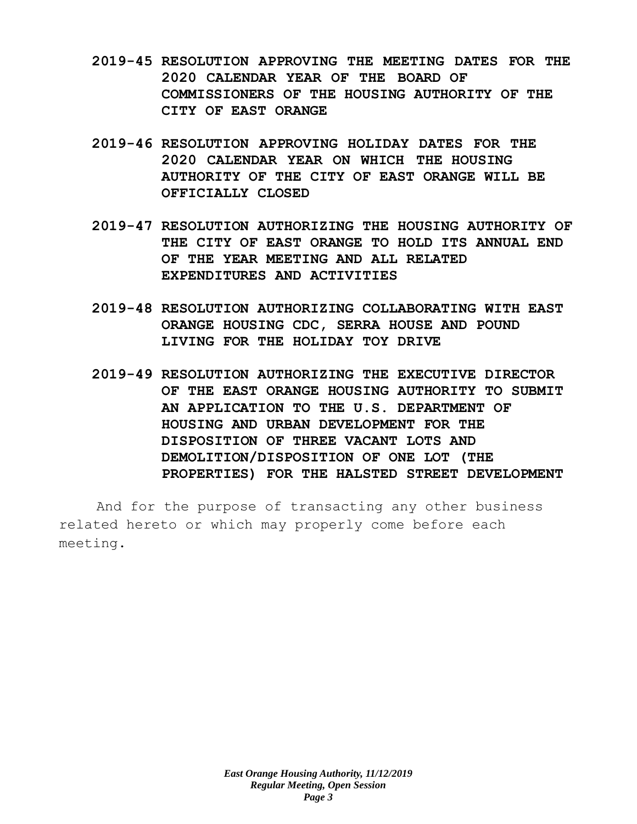- **2019-45 RESOLUTION APPROVING THE MEETING DATES FOR THE 2020 CALENDAR YEAR OF THE BOARD OF COMMISSIONERS OF THE HOUSING AUTHORITY OF THE CITY OF EAST ORANGE**
- **2019-46 RESOLUTION APPROVING HOLIDAY DATES FOR THE 2020 CALENDAR YEAR ON WHICH THE HOUSING AUTHORITY OF THE CITY OF EAST ORANGE WILL BE OFFICIALLY CLOSED**
- **2019-47 RESOLUTION AUTHORIZING THE HOUSING AUTHORITY OF THE CITY OF EAST ORANGE TO HOLD ITS ANNUAL END OF THE YEAR MEETING AND ALL RELATED EXPENDITURES AND ACTIVITIES**
- **2019-48 RESOLUTION AUTHORIZING COLLABORATING WITH EAST ORANGE HOUSING CDC, SERRA HOUSE AND POUND LIVING FOR THE HOLIDAY TOY DRIVE**
- **2019-49 RESOLUTION AUTHORIZING THE EXECUTIVE DIRECTOR OF THE EAST ORANGE HOUSING AUTHORITY TO SUBMIT AN APPLICATION TO THE U.S. DEPARTMENT OF HOUSING AND URBAN DEVELOPMENT FOR THE DISPOSITION OF THREE VACANT LOTS AND DEMOLITION/DISPOSITION OF ONE LOT (THE PROPERTIES) FOR THE HALSTED STREET DEVELOPMENT**

And for the purpose of transacting any other business related hereto or which may properly come before each meeting.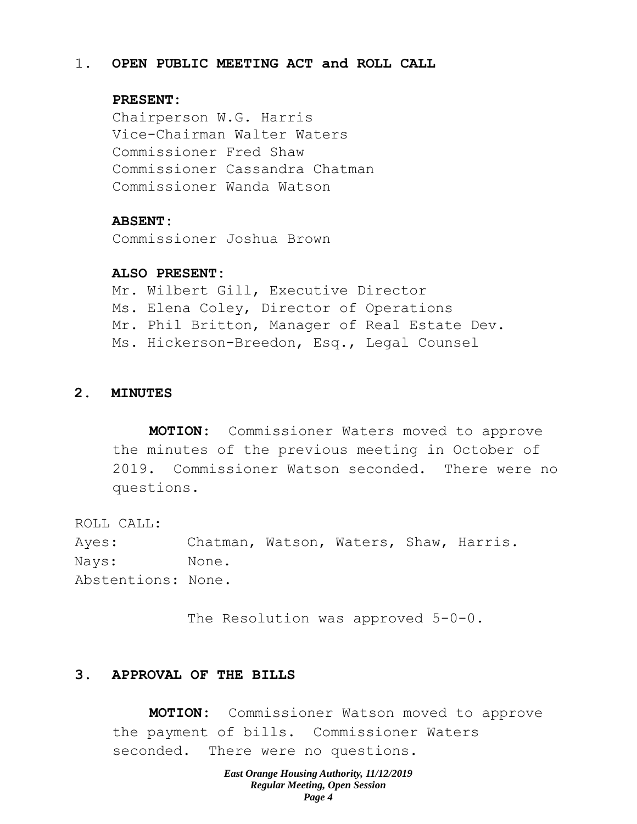## 1. **OPEN PUBLIC MEETING ACT and ROLL CALL**

### **PRESENT:**

Chairperson W.G. Harris Vice-Chairman Walter Waters Commissioner Fred Shaw Commissioner Cassandra Chatman Commissioner Wanda Watson

#### **ABSENT:**

Commissioner Joshua Brown

#### **ALSO PRESENT:**

Mr. Wilbert Gill, Executive Director Ms. Elena Coley, Director of Operations Mr. Phil Britton, Manager of Real Estate Dev. Ms. Hickerson-Breedon, Esq., Legal Counsel

## **2. MINUTES**

**MOTION:** Commissioner Waters moved to approve the minutes of the previous meeting in October of 2019. Commissioner Watson seconded. There were no questions.

ROLL CALL: Ayes: Chatman, Watson, Waters, Shaw, Harris. Nays: None. Abstentions: None.

The Resolution was approved 5-0-0.

## **3. APPROVAL OF THE BILLS**

**MOTION:** Commissioner Watson moved to approve the payment of bills. Commissioner Waters seconded. There were no questions.

> *East Orange Housing Authority, 11/12/2019 Regular Meeting, Open Session Page 4*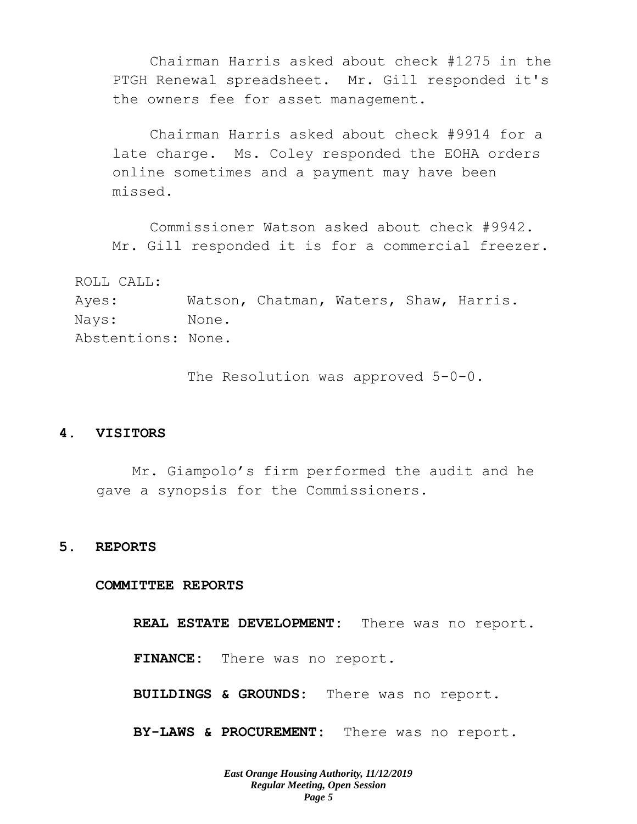Chairman Harris asked about check #1275 in the PTGH Renewal spreadsheet. Mr. Gill responded it's the owners fee for asset management.

Chairman Harris asked about check #9914 for a late charge. Ms. Coley responded the EOHA orders online sometimes and a payment may have been missed.

Commissioner Watson asked about check #9942. Mr. Gill responded it is for a commercial freezer.

ROLL CALL:

Ayes: Watson, Chatman, Waters, Shaw, Harris. Nays: None. Abstentions: None.

The Resolution was approved 5-0-0.

#### **4. VISITORS**

Mr. Giampolo's firm performed the audit and he gave a synopsis for the Commissioners.

#### **5. REPORTS**

#### **COMMITTEE REPORTS**

**REAL ESTATE DEVELOPMENT:** There was no report. **FINANCE:** There was no report. **BUILDINGS & GROUNDS:** There was no report. **BY-LAWS & PROCUREMENT:** There was no report.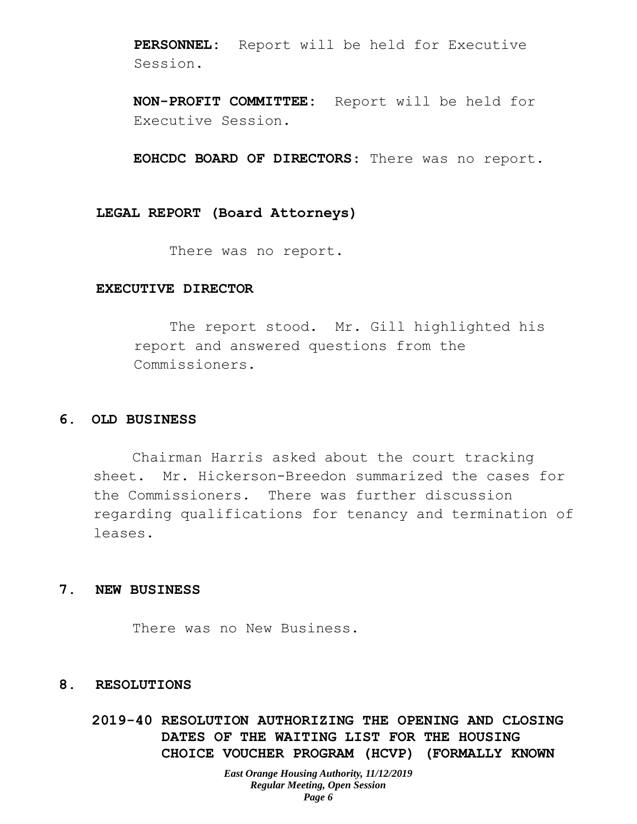**PERSONNEL:** Report will be held for Executive Session.

**NON-PROFIT COMMITTEE:** Report will be held for Executive Session.

**EOHCDC BOARD OF DIRECTORS**: There was no report.

**LEGAL REPORT (Board Attorneys)**

There was no report.

#### **EXECUTIVE DIRECTOR**

The report stood. Mr. Gill highlighted his report and answered questions from the Commissioners.

### **6. OLD BUSINESS**

Chairman Harris asked about the court tracking sheet. Mr. Hickerson-Breedon summarized the cases for the Commissioners. There was further discussion regarding qualifications for tenancy and termination of leases.

## **7. NEW BUSINESS**

There was no New Business.

#### **8. RESOLUTIONS**

**2019-40 RESOLUTION AUTHORIZING THE OPENING AND CLOSING DATES OF THE WAITING LIST FOR THE HOUSING CHOICE VOUCHER PROGRAM (HCVP) (FORMALLY KNOWN**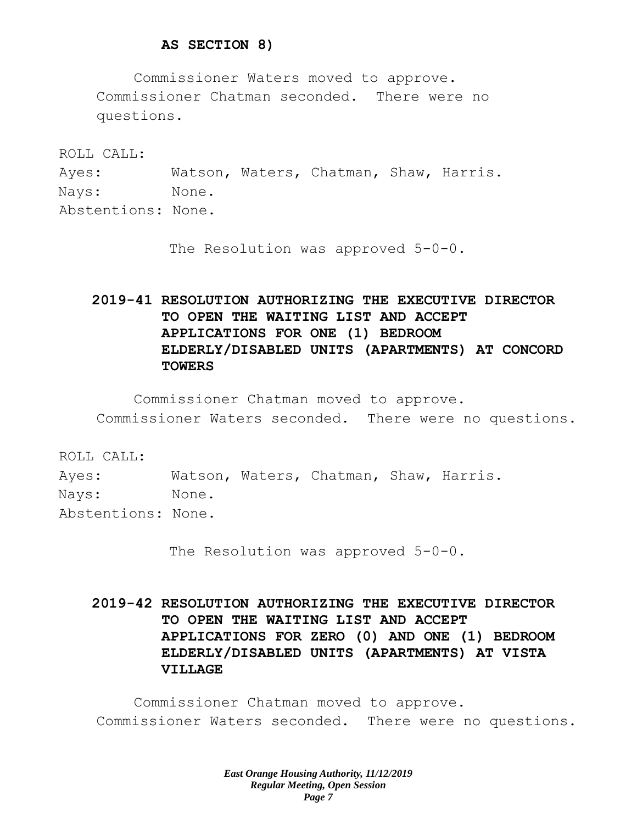## **AS SECTION 8)**

Commissioner Waters moved to approve. Commissioner Chatman seconded. There were no questions.

ROLL CALL:

Ayes: Watson, Waters, Chatman, Shaw, Harris. Nays: None. Abstentions: None.

The Resolution was approved  $5-0-0$ .

# **2019-41 RESOLUTION AUTHORIZING THE EXECUTIVE DIRECTOR TO OPEN THE WAITING LIST AND ACCEPT APPLICATIONS FOR ONE (1) BEDROOM ELDERLY/DISABLED UNITS (APARTMENTS) AT CONCORD TOWERS**

Commissioner Chatman moved to approve.

Commissioner Waters seconded. There were no questions.

ROLL CALL:

Ayes: Watson, Waters, Chatman, Shaw, Harris. Nays: None. Abstentions: None.

The Resolution was approved  $5-0-0$ .

**2019-42 RESOLUTION AUTHORIZING THE EXECUTIVE DIRECTOR TO OPEN THE WAITING LIST AND ACCEPT APPLICATIONS FOR ZERO (0) AND ONE (1) BEDROOM ELDERLY/DISABLED UNITS (APARTMENTS) AT VISTA VILLAGE**

Commissioner Chatman moved to approve. Commissioner Waters seconded. There were no questions.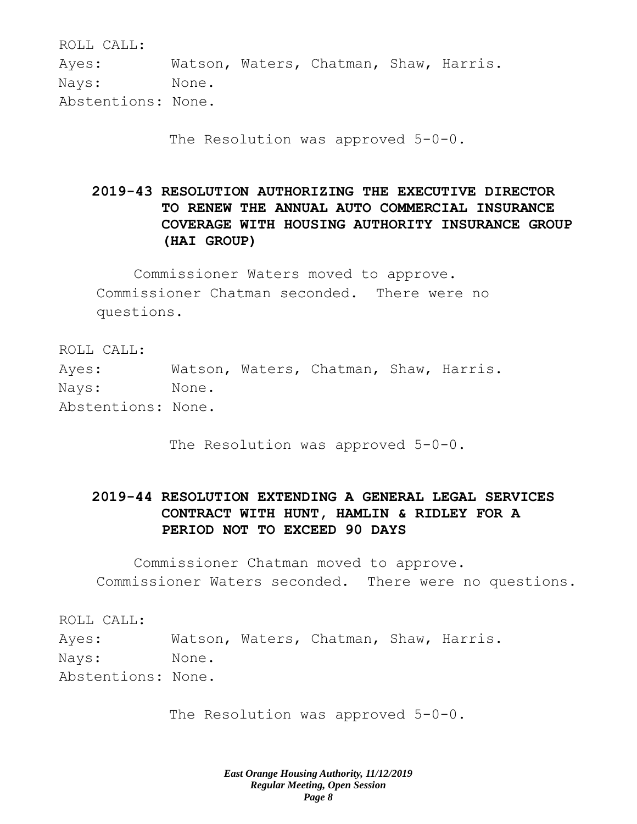ROLL CALL:

Ayes: Watson, Waters, Chatman, Shaw, Harris. Nays: None. Abstentions: None.

The Resolution was approved  $5-0-0$ .

**2019-43 RESOLUTION AUTHORIZING THE EXECUTIVE DIRECTOR TO RENEW THE ANNUAL AUTO COMMERCIAL INSURANCE COVERAGE WITH HOUSING AUTHORITY INSURANCE GROUP (HAI GROUP)**

Commissioner Waters moved to approve. Commissioner Chatman seconded. There were no questions.

ROLL CALL:

Ayes: Watson, Waters, Chatman, Shaw, Harris. Nays: None. Abstentions: None.

The Resolution was approved 5-0-0.

## **2019-44 RESOLUTION EXTENDING A GENERAL LEGAL SERVICES CONTRACT WITH HUNT, HAMLIN & RIDLEY FOR A PERIOD NOT TO EXCEED 90 DAYS**

Commissioner Chatman moved to approve. Commissioner Waters seconded. There were no questions.

ROLL CALL: Ayes: Watson, Waters, Chatman, Shaw, Harris. Nays: None. Abstentions: None.

The Resolution was approved 5-0-0.

*East Orange Housing Authority, 11/12/2019 Regular Meeting, Open Session Page 8*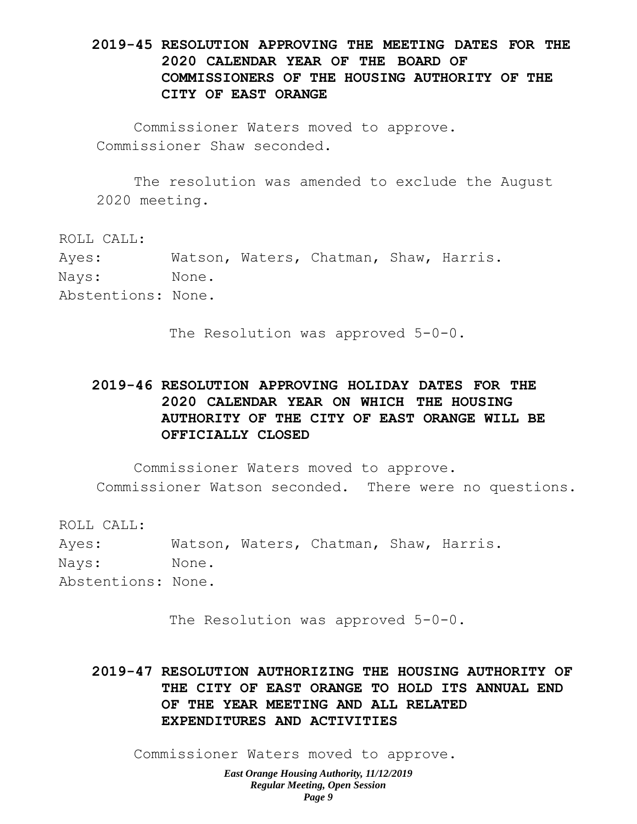## **2019-45 RESOLUTION APPROVING THE MEETING DATES FOR THE 2020 CALENDAR YEAR OF THE BOARD OF COMMISSIONERS OF THE HOUSING AUTHORITY OF THE CITY OF EAST ORANGE**

Commissioner Waters moved to approve. Commissioner Shaw seconded.

The resolution was amended to exclude the August 2020 meeting.

ROLL CALL:

Ayes: Watson, Waters, Chatman, Shaw, Harris. Nays: None. Abstentions: None.

The Resolution was approved 5-0-0.

## **2019-46 RESOLUTION APPROVING HOLIDAY DATES FOR THE 2020 CALENDAR YEAR ON WHICH THE HOUSING AUTHORITY OF THE CITY OF EAST ORANGE WILL BE OFFICIALLY CLOSED**

Commissioner Waters moved to approve. Commissioner Watson seconded. There were no questions.

ROLL CALL: Ayes: Watson, Waters, Chatman, Shaw, Harris. Nays: None. Abstentions: None.

The Resolution was approved  $5-0-0$ .

**2019-47 RESOLUTION AUTHORIZING THE HOUSING AUTHORITY OF THE CITY OF EAST ORANGE TO HOLD ITS ANNUAL END OF THE YEAR MEETING AND ALL RELATED EXPENDITURES AND ACTIVITIES**

Commissioner Waters moved to approve.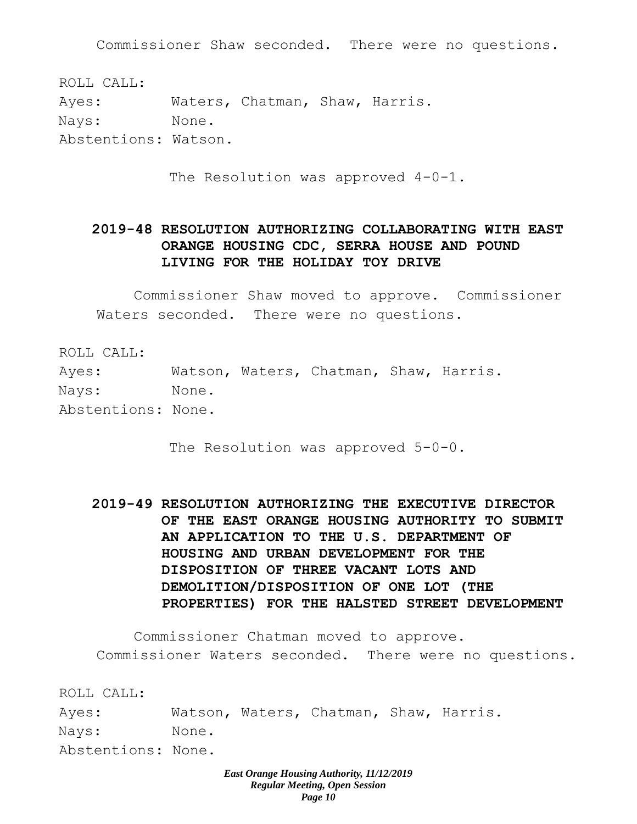Commissioner Shaw seconded. There were no questions.

ROLL CALL:

Ayes: Waters, Chatman, Shaw, Harris.

Nays: None.

Abstentions: Watson.

The Resolution was approved  $4-0-1$ .

## **2019-48 RESOLUTION AUTHORIZING COLLABORATING WITH EAST ORANGE HOUSING CDC, SERRA HOUSE AND POUND LIVING FOR THE HOLIDAY TOY DRIVE**

Commissioner Shaw moved to approve. Commissioner Waters seconded. There were no questions.

ROLL CALL:

Ayes: Watson, Waters, Chatman, Shaw, Harris. Nays: None. Abstentions: None.

The Resolution was approved  $5-0-0$ .

**2019-49 RESOLUTION AUTHORIZING THE EXECUTIVE DIRECTOR OF THE EAST ORANGE HOUSING AUTHORITY TO SUBMIT AN APPLICATION TO THE U.S. DEPARTMENT OF HOUSING AND URBAN DEVELOPMENT FOR THE DISPOSITION OF THREE VACANT LOTS AND DEMOLITION/DISPOSITION OF ONE LOT (THE PROPERTIES) FOR THE HALSTED STREET DEVELOPMENT**

Commissioner Chatman moved to approve. Commissioner Waters seconded. There were no questions.

ROLL CALL: Ayes: Watson, Waters, Chatman, Shaw, Harris. Nays: None. Abstentions: None.

> *East Orange Housing Authority, 11/12/2019 Regular Meeting, Open Session Page 10*